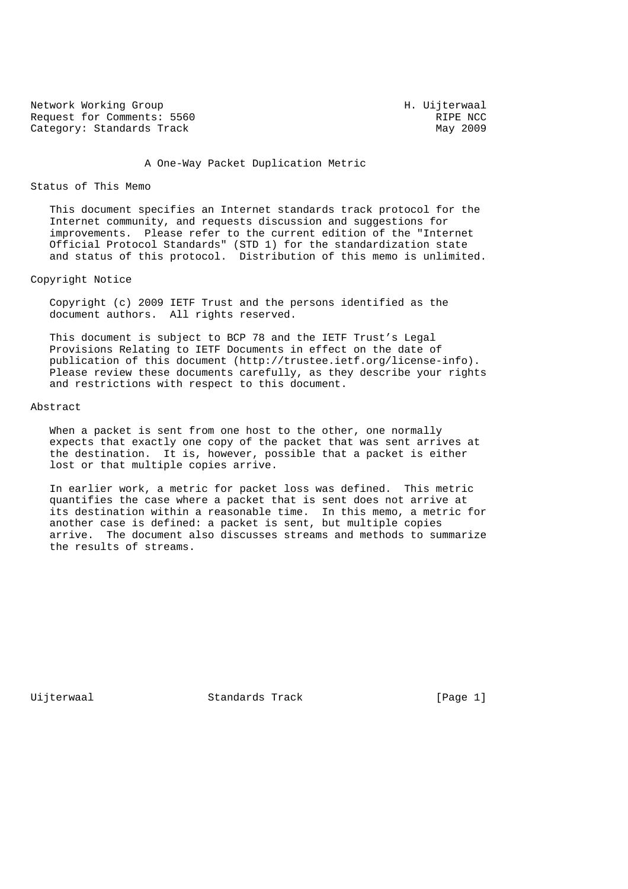Network Working Group<br>Request for Comments: 5560 Request for Comments: 5560 Request for Comments: 5560 RIPE NCC Category: Standards Track

A One-Way Packet Duplication Metric

#### Status of This Memo

 This document specifies an Internet standards track protocol for the Internet community, and requests discussion and suggestions for improvements. Please refer to the current edition of the "Internet Official Protocol Standards" (STD 1) for the standardization state and status of this protocol. Distribution of this memo is unlimited.

Copyright Notice

 Copyright (c) 2009 IETF Trust and the persons identified as the document authors. All rights reserved.

 This document is subject to BCP 78 and the IETF Trust's Legal Provisions Relating to IETF Documents in effect on the date of publication of this document (http://trustee.ietf.org/license-info). Please review these documents carefully, as they describe your rights and restrictions with respect to this document.

#### Abstract

When a packet is sent from one host to the other, one normally expects that exactly one copy of the packet that was sent arrives at the destination. It is, however, possible that a packet is either lost or that multiple copies arrive.

 In earlier work, a metric for packet loss was defined. This metric quantifies the case where a packet that is sent does not arrive at its destination within a reasonable time. In this memo, a metric for another case is defined: a packet is sent, but multiple copies arrive. The document also discusses streams and methods to summarize the results of streams.

Uijterwaal Standards Track [Page 1]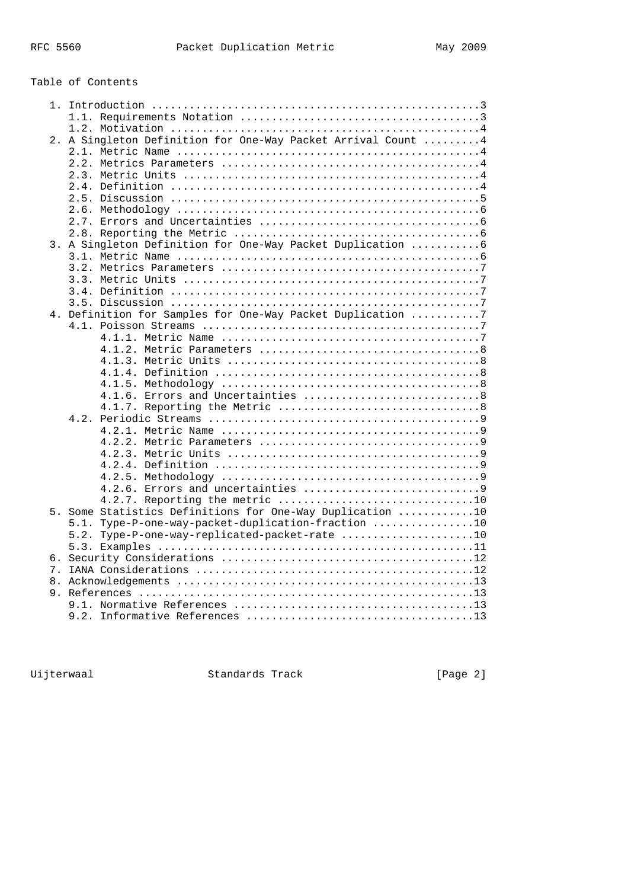# Table of Contents

|    | 2. A Singleton Definition for One-Way Packet Arrival Count  4 |
|----|---------------------------------------------------------------|
|    |                                                               |
|    |                                                               |
|    |                                                               |
|    |                                                               |
|    |                                                               |
|    |                                                               |
|    |                                                               |
|    |                                                               |
|    | 3. A Singleton Definition for One-Way Packet Duplication  6   |
|    |                                                               |
|    |                                                               |
|    |                                                               |
|    |                                                               |
|    |                                                               |
|    | 4. Definition for Samples for One-Way Packet Duplication 7    |
|    |                                                               |
|    |                                                               |
|    |                                                               |
|    |                                                               |
|    |                                                               |
|    |                                                               |
|    |                                                               |
|    |                                                               |
|    |                                                               |
|    |                                                               |
|    |                                                               |
|    |                                                               |
|    |                                                               |
|    |                                                               |
|    |                                                               |
|    | 4.2.7. Reporting the metric 10                                |
|    | 5. Some Statistics Definitions for One-Way Duplication 10     |
|    | Type-P-one-way-packet-duplication-fraction 10<br>5.1.         |
|    | 5.2. Type-P-one-way-replicated-packet-rate 10                 |
|    |                                                               |
|    |                                                               |
|    |                                                               |
| 8. |                                                               |
|    |                                                               |
|    |                                                               |
|    |                                                               |
|    |                                                               |

Uijterwaal Standards Track [Page 2]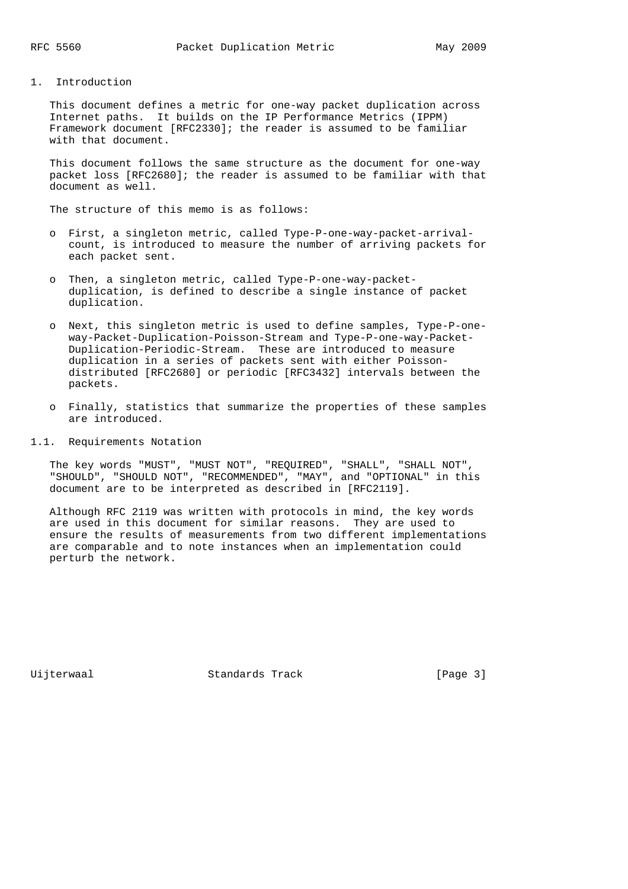### 1. Introduction

 This document defines a metric for one-way packet duplication across Internet paths. It builds on the IP Performance Metrics (IPPM) Framework document [RFC2330]; the reader is assumed to be familiar with that document.

 This document follows the same structure as the document for one-way packet loss [RFC2680]; the reader is assumed to be familiar with that document as well.

The structure of this memo is as follows:

- o First, a singleton metric, called Type-P-one-way-packet-arrival count, is introduced to measure the number of arriving packets for each packet sent.
- o Then, a singleton metric, called Type-P-one-way-packet duplication, is defined to describe a single instance of packet duplication.
- o Next, this singleton metric is used to define samples, Type-P-one way-Packet-Duplication-Poisson-Stream and Type-P-one-way-Packet- Duplication-Periodic-Stream. These are introduced to measure duplication in a series of packets sent with either Poisson distributed [RFC2680] or periodic [RFC3432] intervals between the packets.
- o Finally, statistics that summarize the properties of these samples are introduced.
- 1.1. Requirements Notation

 The key words "MUST", "MUST NOT", "REQUIRED", "SHALL", "SHALL NOT", "SHOULD", "SHOULD NOT", "RECOMMENDED", "MAY", and "OPTIONAL" in this document are to be interpreted as described in [RFC2119].

 Although RFC 2119 was written with protocols in mind, the key words are used in this document for similar reasons. They are used to ensure the results of measurements from two different implementations are comparable and to note instances when an implementation could perturb the network.

Uijterwaal Standards Track [Page 3]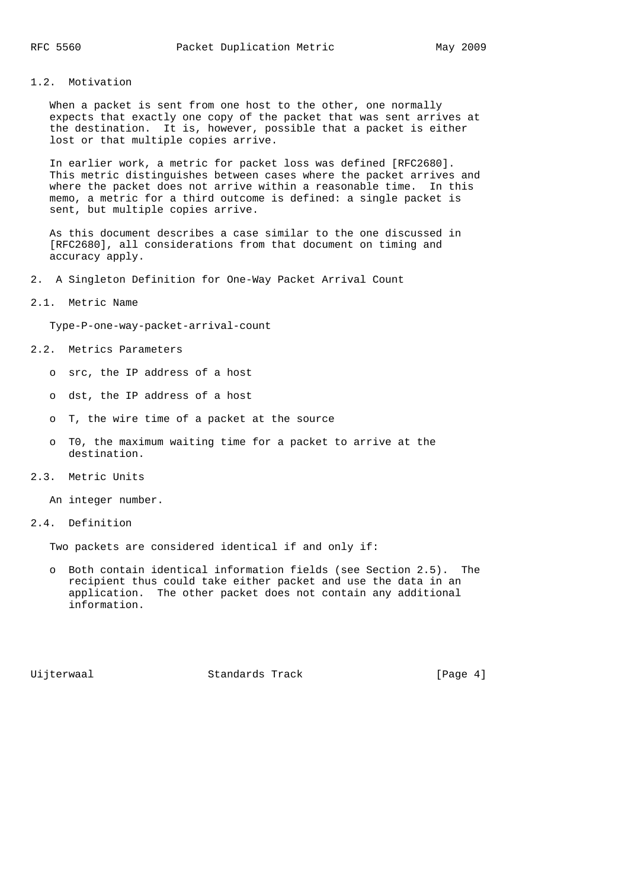### 1.2. Motivation

When a packet is sent from one host to the other, one normally expects that exactly one copy of the packet that was sent arrives at the destination. It is, however, possible that a packet is either lost or that multiple copies arrive.

 In earlier work, a metric for packet loss was defined [RFC2680]. This metric distinguishes between cases where the packet arrives and where the packet does not arrive within a reasonable time. In this memo, a metric for a third outcome is defined: a single packet is sent, but multiple copies arrive.

 As this document describes a case similar to the one discussed in [RFC2680], all considerations from that document on timing and accuracy apply.

2. A Singleton Definition for One-Way Packet Arrival Count

#### 2.1. Metric Name

Type-P-one-way-packet-arrival-count

- 2.2. Metrics Parameters
	- o src, the IP address of a host
	- o dst, the IP address of a host
	- o T, the wire time of a packet at the source
	- o T0, the maximum waiting time for a packet to arrive at the destination.
- 2.3. Metric Units

An integer number.

2.4. Definition

Two packets are considered identical if and only if:

 o Both contain identical information fields (see Section 2.5). The recipient thus could take either packet and use the data in an application. The other packet does not contain any additional information.

Uijterwaal Standards Track [Page 4]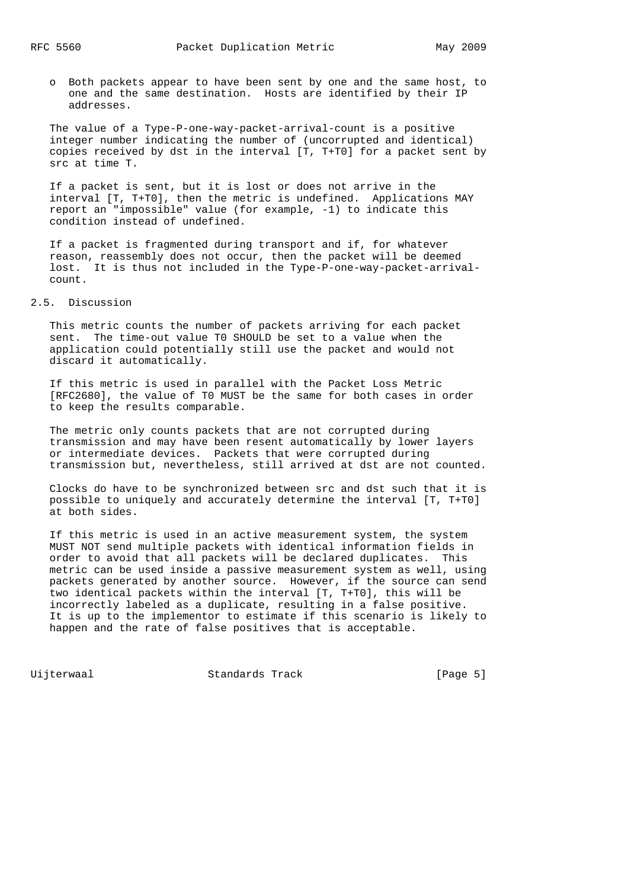o Both packets appear to have been sent by one and the same host, to one and the same destination. Hosts are identified by their IP addresses.

 The value of a Type-P-one-way-packet-arrival-count is a positive integer number indicating the number of (uncorrupted and identical) copies received by dst in the interval [T, T+T0] for a packet sent by src at time T.

 If a packet is sent, but it is lost or does not arrive in the interval [T, T+T0], then the metric is undefined. Applications MAY report an "impossible" value (for example, -1) to indicate this condition instead of undefined.

 If a packet is fragmented during transport and if, for whatever reason, reassembly does not occur, then the packet will be deemed lost. It is thus not included in the Type-P-one-way-packet-arrival count.

### 2.5. Discussion

 This metric counts the number of packets arriving for each packet sent. The time-out value T0 SHOULD be set to a value when the application could potentially still use the packet and would not discard it automatically.

 If this metric is used in parallel with the Packet Loss Metric [RFC2680], the value of T0 MUST be the same for both cases in order to keep the results comparable.

 The metric only counts packets that are not corrupted during transmission and may have been resent automatically by lower layers or intermediate devices. Packets that were corrupted during transmission but, nevertheless, still arrived at dst are not counted.

 Clocks do have to be synchronized between src and dst such that it is possible to uniquely and accurately determine the interval [T, T+T0] at both sides.

 If this metric is used in an active measurement system, the system MUST NOT send multiple packets with identical information fields in order to avoid that all packets will be declared duplicates. This metric can be used inside a passive measurement system as well, using packets generated by another source. However, if the source can send two identical packets within the interval [T, T+T0], this will be incorrectly labeled as a duplicate, resulting in a false positive. It is up to the implementor to estimate if this scenario is likely to happen and the rate of false positives that is acceptable.

Uijterwaal Standards Track [Page 5]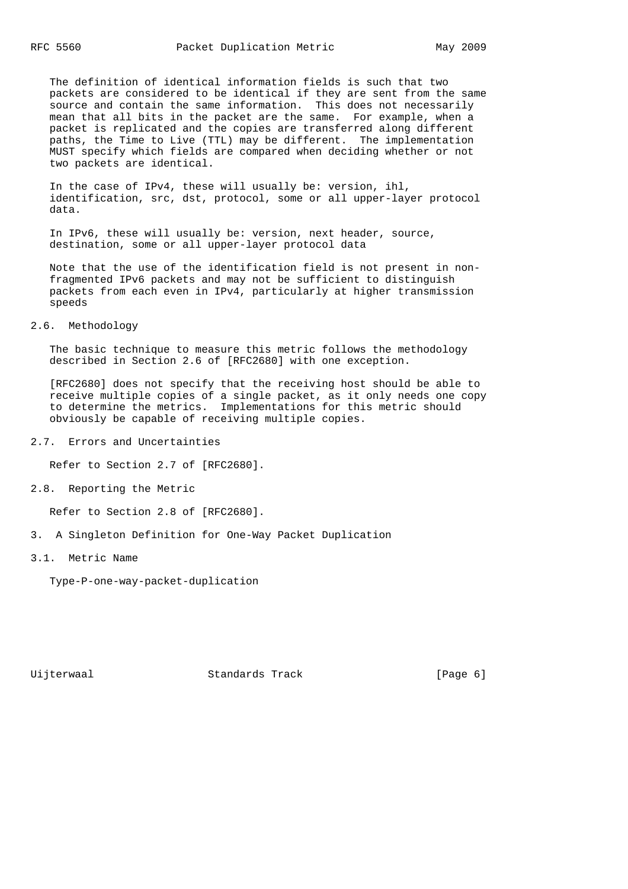The definition of identical information fields is such that two packets are considered to be identical if they are sent from the same source and contain the same information. This does not necessarily mean that all bits in the packet are the same. For example, when a packet is replicated and the copies are transferred along different paths, the Time to Live (TTL) may be different. The implementation MUST specify which fields are compared when deciding whether or not two packets are identical.

 In the case of IPv4, these will usually be: version, ihl, identification, src, dst, protocol, some or all upper-layer protocol data.

 In IPv6, these will usually be: version, next header, source, destination, some or all upper-layer protocol data

 Note that the use of the identification field is not present in non fragmented IPv6 packets and may not be sufficient to distinguish packets from each even in IPv4, particularly at higher transmission speeds

### 2.6. Methodology

 The basic technique to measure this metric follows the methodology described in Section 2.6 of [RFC2680] with one exception.

 [RFC2680] does not specify that the receiving host should be able to receive multiple copies of a single packet, as it only needs one copy to determine the metrics. Implementations for this metric should obviously be capable of receiving multiple copies.

2.7. Errors and Uncertainties

Refer to Section 2.7 of [RFC2680].

2.8. Reporting the Metric

Refer to Section 2.8 of [RFC2680].

- 3. A Singleton Definition for One-Way Packet Duplication
- 3.1. Metric Name

Type-P-one-way-packet-duplication

Uijterwaal Standards Track [Page 6]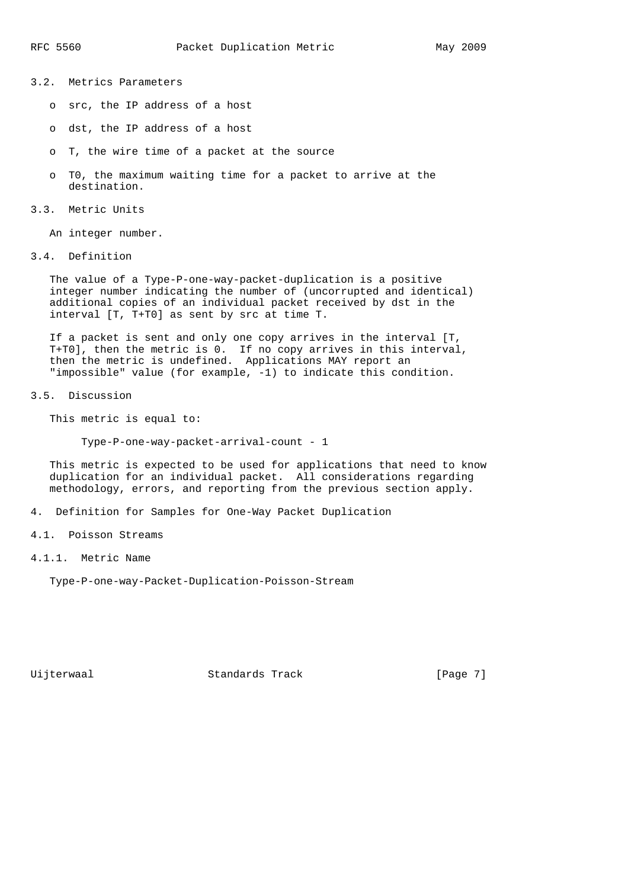- 3.2. Metrics Parameters
	- o src, the IP address of a host
	- o dst, the IP address of a host
	- o T, the wire time of a packet at the source
	- o T0, the maximum waiting time for a packet to arrive at the destination.
- 3.3. Metric Units

An integer number.

3.4. Definition

 The value of a Type-P-one-way-packet-duplication is a positive integer number indicating the number of (uncorrupted and identical) additional copies of an individual packet received by dst in the interval [T, T+T0] as sent by src at time T.

 If a packet is sent and only one copy arrives in the interval [T, T+T0], then the metric is 0. If no copy arrives in this interval, then the metric is undefined. Applications MAY report an "impossible" value (for example, -1) to indicate this condition.

3.5. Discussion

This metric is equal to:

Type-P-one-way-packet-arrival-count - 1

 This metric is expected to be used for applications that need to know duplication for an individual packet. All considerations regarding methodology, errors, and reporting from the previous section apply.

- 4. Definition for Samples for One-Way Packet Duplication
- 4.1. Poisson Streams
- 4.1.1. Metric Name

Type-P-one-way-Packet-Duplication-Poisson-Stream

Uijterwaal Standards Track [Page 7]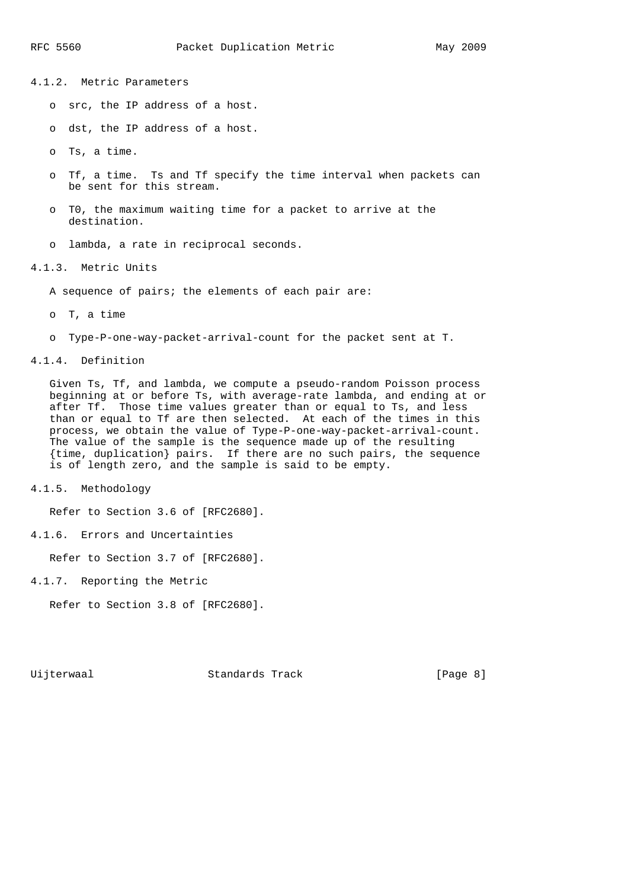4.1.2. Metric Parameters

- o src, the IP address of a host.
- o dst, the IP address of a host.
- o Ts, a time.
- o Tf, a time. Ts and Tf specify the time interval when packets can be sent for this stream.
- o T0, the maximum waiting time for a packet to arrive at the destination.
- o lambda, a rate in reciprocal seconds.

4.1.3. Metric Units

A sequence of pairs; the elements of each pair are:

- o T, a time
- o Type-P-one-way-packet-arrival-count for the packet sent at T.

### 4.1.4. Definition

 Given Ts, Tf, and lambda, we compute a pseudo-random Poisson process beginning at or before Ts, with average-rate lambda, and ending at or after Tf. Those time values greater than or equal to Ts, and less than or equal to Tf are then selected. At each of the times in this process, we obtain the value of Type-P-one-way-packet-arrival-count. The value of the sample is the sequence made up of the resulting {time, duplication} pairs. If there are no such pairs, the sequence is of length zero, and the sample is said to be empty.

4.1.5. Methodology

Refer to Section 3.6 of [RFC2680].

4.1.6. Errors and Uncertainties

Refer to Section 3.7 of [RFC2680].

4.1.7. Reporting the Metric

Refer to Section 3.8 of [RFC2680].

Uijterwaal Standards Track [Page 8]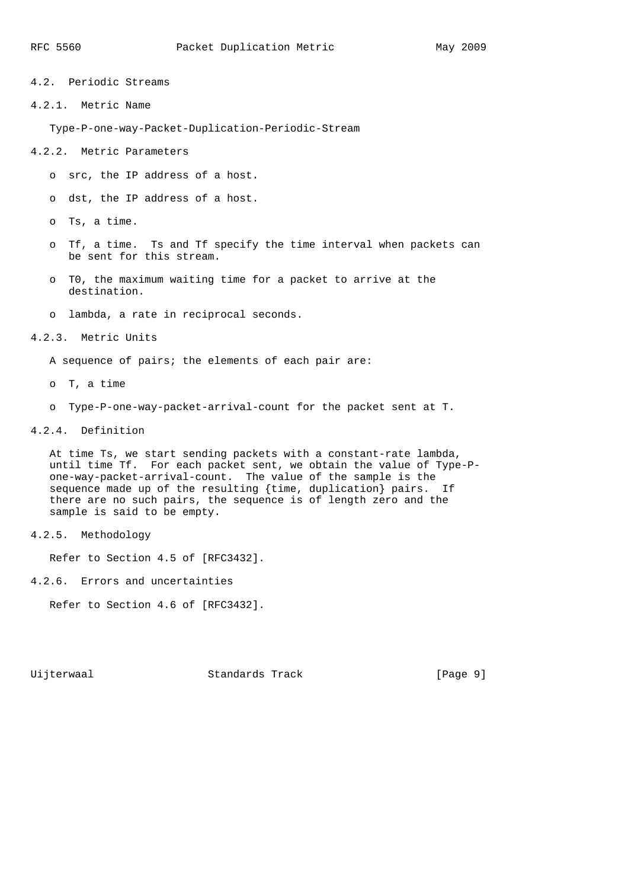4.2. Periodic Streams

4.2.1. Metric Name

Type-P-one-way-Packet-Duplication-Periodic-Stream

- 4.2.2. Metric Parameters
	- o src, the IP address of a host.
	- o dst, the IP address of a host.
	- o Ts, a time.
	- o Tf, a time. Ts and Tf specify the time interval when packets can be sent for this stream.
	- o T0, the maximum waiting time for a packet to arrive at the destination.
	- o lambda, a rate in reciprocal seconds.

### 4.2.3. Metric Units

A sequence of pairs; the elements of each pair are:

- o T, a time
- o Type-P-one-way-packet-arrival-count for the packet sent at T.

### 4.2.4. Definition

 At time Ts, we start sending packets with a constant-rate lambda, until time Tf. For each packet sent, we obtain the value of Type-P one-way-packet-arrival-count. The value of the sample is the sequence made up of the resulting {time, duplication} pairs. If there are no such pairs, the sequence is of length zero and the sample is said to be empty.

4.2.5. Methodology

Refer to Section 4.5 of [RFC3432].

4.2.6. Errors and uncertainties

Refer to Section 4.6 of [RFC3432].

Uijterwaal Standards Track [Page 9]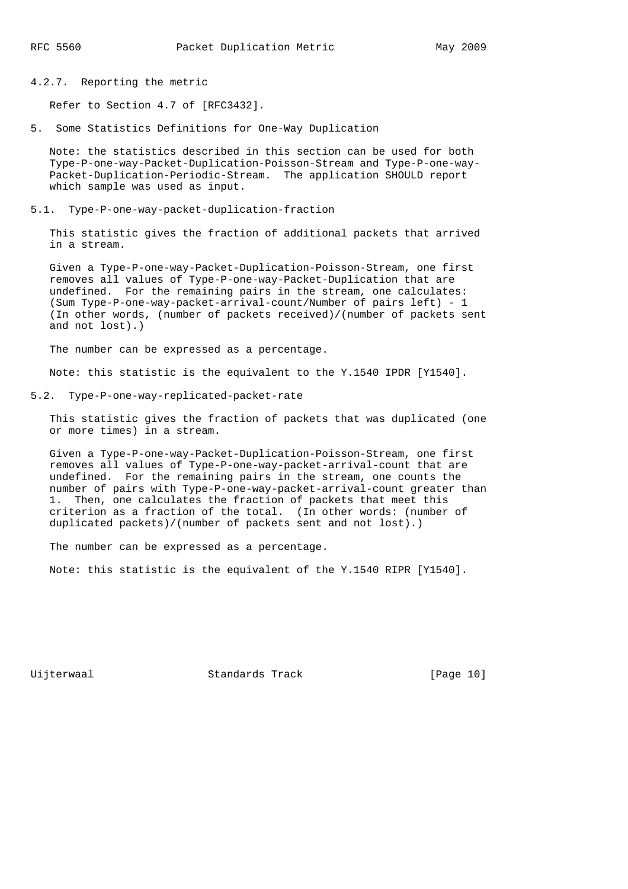4.2.7. Reporting the metric

Refer to Section 4.7 of [RFC3432].

5. Some Statistics Definitions for One-Way Duplication

 Note: the statistics described in this section can be used for both Type-P-one-way-Packet-Duplication-Poisson-Stream and Type-P-one-way- Packet-Duplication-Periodic-Stream. The application SHOULD report which sample was used as input.

5.1. Type-P-one-way-packet-duplication-fraction

 This statistic gives the fraction of additional packets that arrived in a stream.

 Given a Type-P-one-way-Packet-Duplication-Poisson-Stream, one first removes all values of Type-P-one-way-Packet-Duplication that are undefined. For the remaining pairs in the stream, one calculates: (Sum Type-P-one-way-packet-arrival-count/Number of pairs left) - 1 (In other words, (number of packets received)/(number of packets sent and not lost).)

The number can be expressed as a percentage.

Note: this statistic is the equivalent to the Y.1540 IPDR [Y1540].

5.2. Type-P-one-way-replicated-packet-rate

 This statistic gives the fraction of packets that was duplicated (one or more times) in a stream.

 Given a Type-P-one-way-Packet-Duplication-Poisson-Stream, one first removes all values of Type-P-one-way-packet-arrival-count that are undefined. For the remaining pairs in the stream, one counts the number of pairs with Type-P-one-way-packet-arrival-count greater than 1. Then, one calculates the fraction of packets that meet this criterion as a fraction of the total. (In other words: (number of duplicated packets)/(number of packets sent and not lost).)

The number can be expressed as a percentage.

Note: this statistic is the equivalent of the Y.1540 RIPR [Y1540].

Uijterwaal Standards Track [Page 10]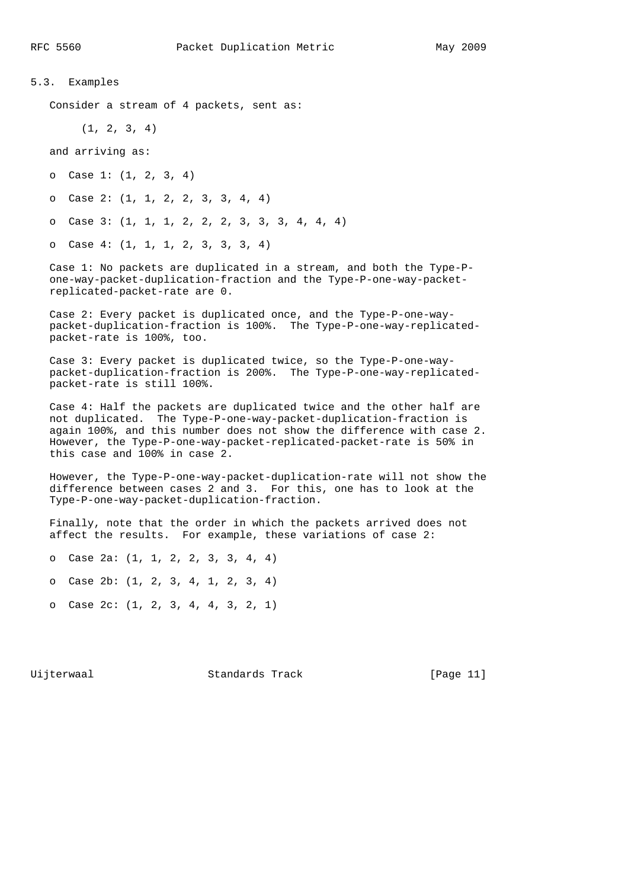## 5.3. Examples

Consider a stream of 4 packets, sent as:

(1, 2, 3, 4)

and arriving as:

o Case 1: (1, 2, 3, 4)

o Case 2: (1, 1, 2, 2, 3, 3, 4, 4)

o Case 3: (1, 1, 1, 2, 2, 2, 3, 3, 3, 4, 4, 4)

o Case 4: (1, 1, 1, 2, 3, 3, 3, 4)

 Case 1: No packets are duplicated in a stream, and both the Type-P one-way-packet-duplication-fraction and the Type-P-one-way-packet replicated-packet-rate are 0.

 Case 2: Every packet is duplicated once, and the Type-P-one-way packet-duplication-fraction is 100%. The Type-P-one-way-replicated packet-rate is 100%, too.

 Case 3: Every packet is duplicated twice, so the Type-P-one-way packet-duplication-fraction is 200%. The Type-P-one-way-replicated packet-rate is still 100%.

 Case 4: Half the packets are duplicated twice and the other half are not duplicated. The Type-P-one-way-packet-duplication-fraction is again 100%, and this number does not show the difference with case 2. However, the Type-P-one-way-packet-replicated-packet-rate is 50% in this case and 100% in case 2.

 However, the Type-P-one-way-packet-duplication-rate will not show the difference between cases 2 and 3. For this, one has to look at the Type-P-one-way-packet-duplication-fraction.

 Finally, note that the order in which the packets arrived does not affect the results. For example, these variations of case 2:

 o Case 2a: (1, 1, 2, 2, 3, 3, 4, 4) o Case 2b: (1, 2, 3, 4, 1, 2, 3, 4)

o Case 2c: (1, 2, 3, 4, 4, 3, 2, 1)

Uijterwaal Standards Track [Page 11]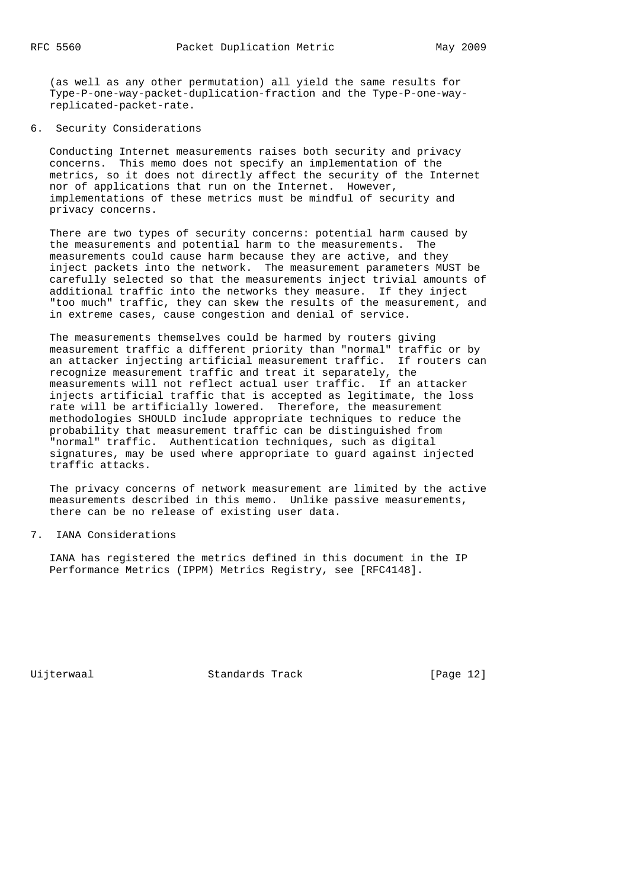(as well as any other permutation) all yield the same results for Type-P-one-way-packet-duplication-fraction and the Type-P-one-way replicated-packet-rate.

### 6. Security Considerations

 Conducting Internet measurements raises both security and privacy concerns. This memo does not specify an implementation of the metrics, so it does not directly affect the security of the Internet nor of applications that run on the Internet. However, implementations of these metrics must be mindful of security and privacy concerns.

 There are two types of security concerns: potential harm caused by the measurements and potential harm to the measurements. The measurements could cause harm because they are active, and they inject packets into the network. The measurement parameters MUST be carefully selected so that the measurements inject trivial amounts of additional traffic into the networks they measure. If they inject "too much" traffic, they can skew the results of the measurement, and in extreme cases, cause congestion and denial of service.

 The measurements themselves could be harmed by routers giving measurement traffic a different priority than "normal" traffic or by an attacker injecting artificial measurement traffic. If routers can recognize measurement traffic and treat it separately, the measurements will not reflect actual user traffic. If an attacker injects artificial traffic that is accepted as legitimate, the loss rate will be artificially lowered. Therefore, the measurement methodologies SHOULD include appropriate techniques to reduce the probability that measurement traffic can be distinguished from "normal" traffic. Authentication techniques, such as digital signatures, may be used where appropriate to guard against injected traffic attacks.

 The privacy concerns of network measurement are limited by the active measurements described in this memo. Unlike passive measurements, there can be no release of existing user data.

# 7. IANA Considerations

 IANA has registered the metrics defined in this document in the IP Performance Metrics (IPPM) Metrics Registry, see [RFC4148].

Uijterwaal Standards Track [Page 12]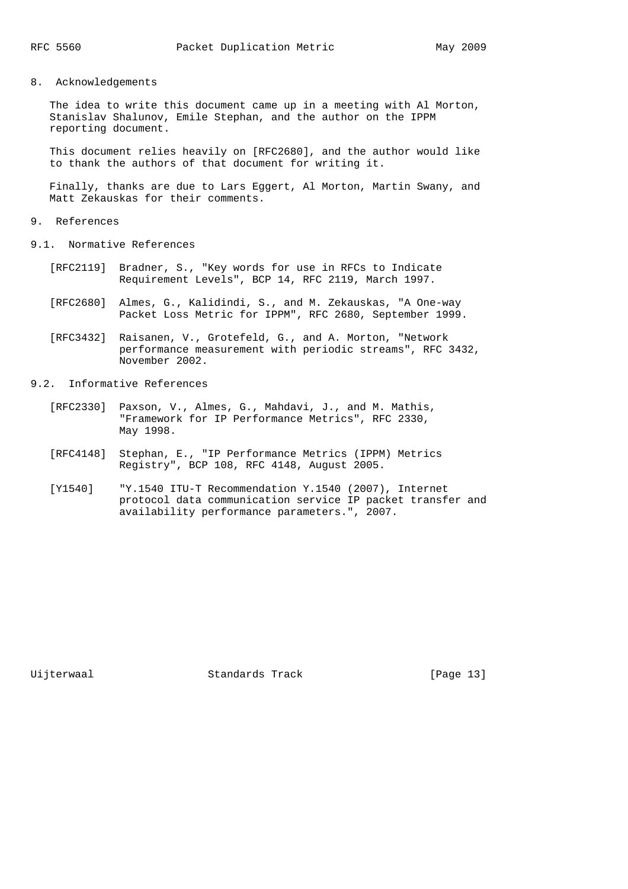### 8. Acknowledgements

 The idea to write this document came up in a meeting with Al Morton, Stanislav Shalunov, Emile Stephan, and the author on the IPPM reporting document.

 This document relies heavily on [RFC2680], and the author would like to thank the authors of that document for writing it.

 Finally, thanks are due to Lars Eggert, Al Morton, Martin Swany, and Matt Zekauskas for their comments.

### 9. References

- 9.1. Normative References
	- [RFC2119] Bradner, S., "Key words for use in RFCs to Indicate Requirement Levels", BCP 14, RFC 2119, March 1997.
	- [RFC2680] Almes, G., Kalidindi, S., and M. Zekauskas, "A One-way Packet Loss Metric for IPPM", RFC 2680, September 1999.
	- [RFC3432] Raisanen, V., Grotefeld, G., and A. Morton, "Network performance measurement with periodic streams", RFC 3432, November 2002.
- 9.2. Informative References
	- [RFC2330] Paxson, V., Almes, G., Mahdavi, J., and M. Mathis, "Framework for IP Performance Metrics", RFC 2330, May 1998.
	- [RFC4148] Stephan, E., "IP Performance Metrics (IPPM) Metrics Registry", BCP 108, RFC 4148, August 2005.
	- [Y1540] "Y.1540 ITU-T Recommendation Y.1540 (2007), Internet protocol data communication service IP packet transfer and availability performance parameters.", 2007.

Uijterwaal Standards Track [Page 13]